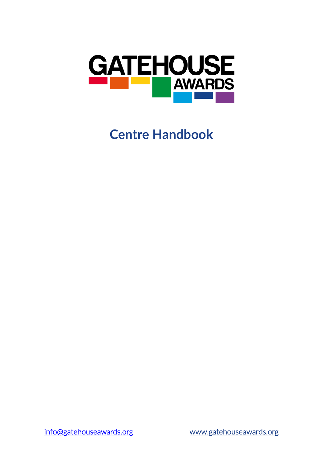

# **Centre Handbook**

[info@gatehouseawards.org](mailto:info@gatehouseawards.org) [www.gatehouseawards.org](http://www.gatehouseawards.org/)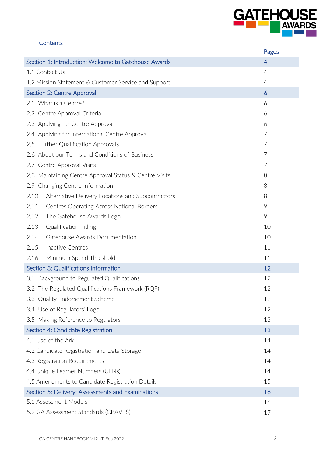

## **Contents**

|                                                           | Pages          |
|-----------------------------------------------------------|----------------|
| Section 1: Introduction: Welcome to Gatehouse Awards      | $\overline{4}$ |
| 1.1 Contact Us                                            | $\overline{4}$ |
| 1.2 Mission Statement & Customer Service and Support      | 4              |
| Section 2: Centre Approval                                | 6              |
| 2.1 What is a Centre?                                     | 6              |
| 2.2 Centre Approval Criteria                              | 6              |
| 2.3 Applying for Centre Approval                          | 6              |
| 2.4 Applying for International Centre Approval            | 7              |
| 2.5 Further Qualification Approvals                       | 7              |
| 2.6 About our Terms and Conditions of Business            | 7              |
| 2.7 Centre Approval Visits                                | 7              |
| 2.8 Maintaining Centre Approval Status & Centre Visits    | 8              |
| 2.9 Changing Centre Information                           | 8              |
| Alternative Delivery Locations and Subcontractors<br>2.10 | 8              |
| 2.11<br><b>Centres Operating Across National Borders</b>  | 9              |
| 2.12<br>The Gatehouse Awards Logo                         | 9              |
| 2.13<br><b>Qualification Titling</b>                      | 10             |
| Gatehouse Awards Documentation<br>2.14                    | 10             |
| 2.15<br>Inactive Centres                                  | 11             |
| 2.16<br>Minimum Spend Threshold                           | 11             |
| Section 3: Qualifications Information                     | 12             |
| 3.1 Background to Regulated Qualifications                | 12             |
| 3.2 The Regulated Qualifications Framework (RQF)          | 12             |
| 3.3 Quality Endorsement Scheme                            | 12             |
| 3.4 Use of Regulators' Logo                               | 12             |
| 3.5 Making Reference to Regulators                        | 13             |
| Section 4: Candidate Registration                         | 13             |
| 4.1 Use of the Ark                                        | 14             |
| 4.2 Candidate Registration and Data Storage               | 14             |
| 4.3 Registration Requirements                             | 14             |
| 4.4 Unique Learner Numbers (ULNs)                         | 14             |
| 4.5 Amendments to Candidate Registration Details          | 15             |
| Section 5: Delivery: Assessments and Examinations         | 16             |
| 5.1 Assessment Models                                     | 16             |
| 5.2 GA Assessment Standards (CRAVES)                      | 17             |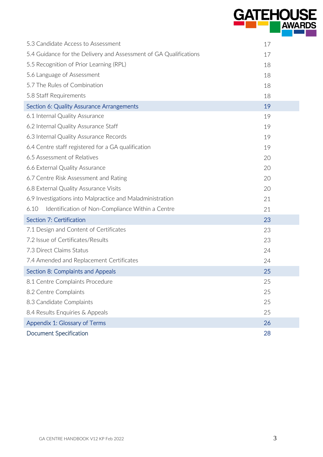|                                                                   | <b>GATEHOUS</b><br><b>AWARDS</b> |
|-------------------------------------------------------------------|----------------------------------|
| 5.3 Candidate Access to Assessment                                | 17                               |
| 5.4 Guidance for the Delivery and Assessment of GA Qualifications | 17                               |
| 5.5 Recognition of Prior Learning (RPL)                           | 18                               |
| 5.6 Language of Assessment                                        | 18                               |
| 5.7 The Rules of Combination                                      | 18                               |
| 5.8 Staff Requirements                                            | 18                               |
| Section 6: Quality Assurance Arrangements                         | 19                               |
| 6.1 Internal Quality Assurance                                    | 19                               |
| 6.2 Internal Quality Assurance Staff                              | 19                               |
| 6.3 Internal Quality Assurance Records                            | 19                               |
| 6.4 Centre staff registered for a GA qualification                | 19                               |
| 6.5 Assessment of Relatives                                       | 20                               |
| 6.6 External Quality Assurance                                    | 20                               |
| 6.7 Centre Risk Assessment and Rating                             | 20                               |
| 6.8 External Quality Assurance Visits                             | 20                               |
| 6.9 Investigations into Malpractice and Maladministration         | 21                               |
| 6.10<br>Identification of Non-Compliance Within a Centre          | 21                               |
| Section 7: Certification                                          | 23                               |
| 7.1 Design and Content of Certificates                            | 23                               |
| 7.2 Issue of Certificates/Results                                 | 23                               |
| 7.3 Direct Claims Status                                          | 24                               |
| 7.4 Amended and Replacement Certificates                          | 24                               |
| Section 8: Complaints and Appeals                                 | 25                               |
| 8.1 Centre Complaints Procedure                                   | 25                               |
| 8.2 Centre Complaints                                             | 25                               |
| 8.3 Candidate Complaints                                          | 25                               |
| 8.4 Results Enquiries & Appeals                                   | 25                               |
| Appendix 1: Glossary of Terms                                     | 26                               |
| <b>Document Specification</b>                                     | 28                               |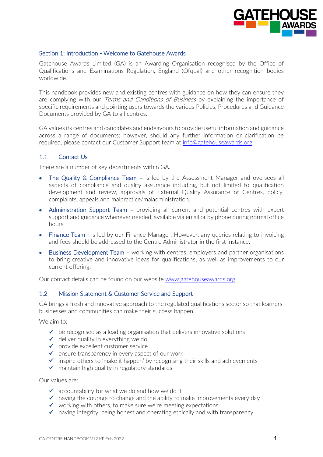

#### Section 1: Introduction - Welcome to Gatehouse Awards

Gatehouse Awards Limited (GA) is an Awarding Organisation recognised by the Office of Qualifications and Examinations Regulation, England (Ofqual) and other recognition bodies worldwide.

This handbook provides new and existing centres with guidance on how they can ensure they are complying with our *Terms and Conditions of Business* by explaining the importance of specific requirements and pointing users towards the various Policies, Procedures and Guidance Documents provided by GA to all centres.

GA values its centres and candidates and endeavours to provide useful information and guidance across a range of documents; however, should any further information or clarification be required, please contact our Customer Support team at [info@gatehouseawards.org](mailto:info@gatehouseawards.org)

## 1.1 Contact Us

There are a number of key departments within GA.

- The Quality & Compliance Team is led by the Assessment Manager and oversees all aspects of compliance and quality assurance including, but not limited to qualification development and review, approvals of External Quality Assurance of Centres, policy, complaints, appeals and malpractice/maladministration.
- Administration Support Team providing all current and potential centres with expert support and guidance whenever needed, available via email or by phone during normal office hours.
- Finance Team is led by our Finance Manager. However, any queries relating to invoicing and fees should be addressed to the Centre Administrator in the first instance.
- Business Development Team working with centres, employers and partner organisations to bring creative and innovative ideas for qualifications, as well as improvements to our current offering.

Our contact details can be found on our website [www.gatehouseawards.org.](http://www.gatehouseawards.org/)

#### 1.2 Mission Statement & Customer Service and Support

GA brings a fresh and innovative approach to the regulated qualifications sector so that learners, businesses and communities can make their success happen.

We aim to:

- $\checkmark$  be recognised as a leading organisation that delivers innovative solutions
- $\checkmark$  deliver quality in everything we do
- ✓ provide excellent customer service
- $\checkmark$  ensure transparency in every aspect of our work
- ✓ inspire others to 'make it happen' by recognising their skills and achievements
- $\checkmark$  maintain high quality in regulatory standards

Our values are:

- $\checkmark$  accountability for what we do and how we do it
- $\checkmark$  having the courage to change and the ability to make improvements every day
- $\checkmark$  working with others, to make sure we're meeting expectations
- $\checkmark$  having integrity, being honest and operating ethically and with transparency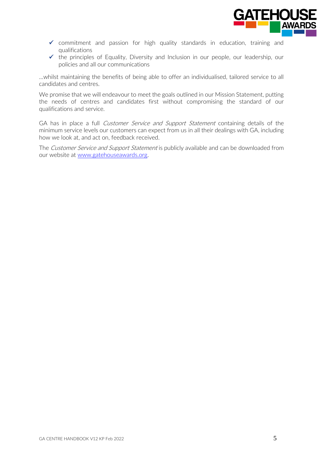

- $\checkmark$  commitment and passion for high quality standards in education, training and qualifications
- $\checkmark$  the principles of Equality, Diversity and Inclusion in our people, our leadership, our policies and all our communications

…whilst maintaining the benefits of being able to offer an individualised, tailored service to all candidates and centres.

We promise that we will endeavour to meet the goals outlined in our Mission Statement, putting the needs of centres and candidates first without compromising the standard of our qualifications and service.

GA has in place a full *Customer Service and Support Statement* containing details of the minimum service levels our customers can expect from us in all their dealings with GA, including how we look at, and act on, feedback received.

The Customer Service and Support Statement is publicly available and can be downloaded from our website at [www.gatehouseawards.org.](http://www.gatehouseawards.org/)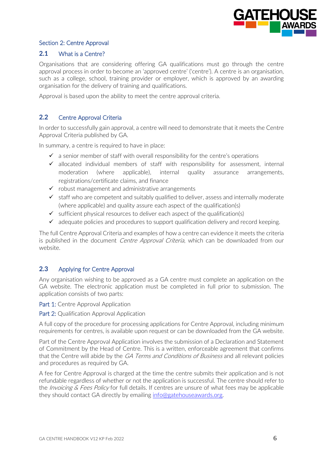

# Section 2: Centre Approval

# **2.1** What is a Centre?

Organisations that are considering offering GA qualifications must go through the centre approval process in order to become an 'approved centre' ('centre'). A centre is an organisation, such as a college, school, training provider or employer, which is approved by an awarding organisation for the delivery of training and qualifications.

Approval is based upon the ability to meet the centre approval criteria.

# **2.2** Centre Approval Criteria

In order to successfully gain approval, a centre will need to demonstrate that it meets the Centre Approval Criteria published by GA.

In summary, a centre is required to have in place:

- $\checkmark$  a senior member of staff with overall responsibility for the centre's operations
- $\checkmark$  allocated individual members of staff with responsibility for assessment, internal moderation (where applicable), internal quality assurance arrangements, registrations/certificate claims, and finance
- $\checkmark$  robust management and administrative arrangements
- $\checkmark$  staff who are competent and suitably qualified to deliver, assess and internally moderate (where applicable) and quality assure each aspect of the qualification(s)
- $\checkmark$  sufficient physical resources to deliver each aspect of the qualification(s)
- $\checkmark$  adequate policies and procedures to support qualification delivery and record keeping.

The full Centre Approval Criteria and examples of how a centre can evidence it meets the criteria is published in the document *Centre Approval Criteria*, which can be downloaded from our website.

#### **2.3** Applying for Centre Approval

Any organisation wishing to be approved as a GA centre must complete an application on the GA website. The electronic application must be completed in full prior to submission. The application consists of two parts:

Part 1: Centre Approval Application

Part 2: Qualification Approval Application

A full copy of the procedure for processing applications for Centre Approval, including minimum requirements for centres, is available upon request or can be downloaded from the GA website.

Part of the Centre Approval Application involves the submission of a Declaration and Statement of Commitment by the Head of Centre. This is a written, enforceable agreement that confirms that the Centre will abide by the *GA Terms and Conditions of Business* and all relevant policies and procedures as required by GA.

A fee for Centre Approval is charged at the time the centre submits their application and is not refundable regardless of whether or not the application is successful. The centre should refer to the *Invoicing & Fees Policy* for full details. If centres are unsure of what fees may be applicable they should contact GA directly by emailing [info@gatehouseawards.org.](mailto:info@gatehouseawards.org)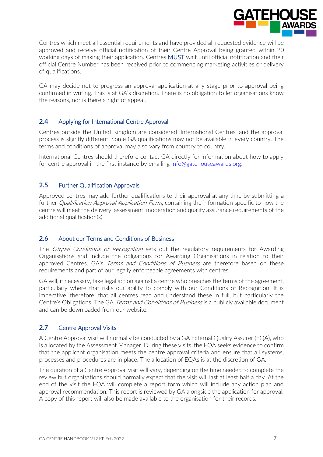

Centres which meet all essential requirements and have provided all requested evidence will be approved and receive official notification of their Centre Approval being granted within 20 working days of making their application. Centres MUST wait until official notification and their official Centre Number has been received prior to commencing marketing activities or delivery of qualifications.

GA may decide not to progress an approval application at any stage prior to approval being confirmed in writing. This is at GA's discretion. There is no obligation to let organisations know the reasons, nor is there a right of appeal.

# **2.4** Applying for International Centre Approval

Centres outside the United Kingdom are considered 'International Centres' and the approval process is slightly different. Some GA qualifications may not be available in every country. The terms and conditions of approval may also vary from country to country.

International Centres should therefore contact GA directly for information about how to apply for centre approval in the first instance by emailing [info@gatehouseawards.org.](mailto:info@gatehouseawards.org)

## **2.5** Further Qualification Approvals

Approved centres may add further qualifications to their approval at any time by submitting a further *Qualification Approval Application Form*, containing the information specific to how the centre will meet the delivery, assessment, moderation and quality assurance requirements of the additional qualification(s).

#### **2.6** About our Terms and Conditions of Business

The *Ofqual Conditions of Recognition* sets out the regulatory requirements for Awarding Organisations and include the obligations for Awarding Organisations in relation to their approved Centres. GA's Terms and Conditions of Business are therefore based on these requirements and part of our legally enforceable agreements with centres.

GA will, if necessary, take legal action against a centre who breaches the terms of the agreement, particularly where that risks our ability to comply with our Conditions of Recognition. It is imperative, therefore, that all centres read and understand these in full, but particularly the Centre's Obligations. The GA Terms and Conditions of Business is a publicly available document and can be downloaded from our website.

# **2.7** Centre Approval Visits

A Centre Approval visit will normally be conducted by a GA External Quality Assurer (EQA), who is allocated by the Assessment Manager. During these visits, the EQA seeks evidence to confirm that the applicant organisation meets the centre approval criteria and ensure that all systems, processes and procedures are in place. The allocation of EQAs is at the discretion of GA.

The duration of a Centre Approval visit will vary, depending on the time needed to complete the review but organisations should normally expect that the visit will last at least half a day. At the end of the visit the EQA will complete a report form which will include any action plan and approval recommendation. This report is reviewed by GA alongside the application for approval. A copy of this report will also be made available to the organisation for their records.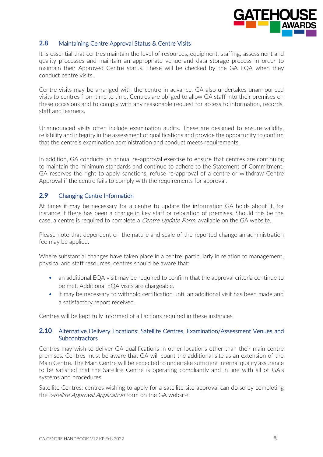

# **2.8** Maintaining Centre Approval Status & Centre Visits

It is essential that centres maintain the level of resources, equipment, staffing, assessment and quality processes and maintain an appropriate venue and data storage process in order to maintain their Approved Centre status. These will be checked by the GA EQA when they conduct centre visits.

Centre visits may be arranged with the centre in advance. GA also undertakes unannounced visits to centres from time to time. Centres are obliged to allow GA staff into their premises on these occasions and to comply with any reasonable request for access to information, records, staff and learners.

Unannounced visits often include examination audits. These are designed to ensure validity, reliability and integrity in the assessment of qualifications and provide the opportunity to confirm that the centre's examination administration and conduct meets requirements.

In addition, GA conducts an annual re-approval exercise to ensure that centres are continuing to maintain the minimum standards and continue to adhere to the Statement of Commitment. GA reserves the right to apply sanctions, refuse re-approval of a centre or withdraw Centre Approval if the centre fails to comply with the requirements for approval.

## **2.9** Changing Centre Information

At times it may be necessary for a centre to update the information GA holds about it, for instance if there has been a change in key staff or relocation of premises. Should this be the case, a centre is required to complete a *Centre Update Form*, available on the GA website.

Please note that dependent on the nature and scale of the reported change an administration fee may be applied.

Where substantial changes have taken place in a centre, particularly in relation to management, physical and staff resources, centres should be aware that:

- an additional EQA visit may be required to confirm that the approval criteria continue to be met. Additional EQA visits are chargeable.
- it may be necessary to withhold certification until an additional visit has been made and a satisfactory report received.

Centres will be kept fully informed of all actions required in these instances.

#### **2.10** Alternative Delivery Locations: Satellite Centres, Examination/Assessment Venues and **Subcontractors**

Centres may wish to deliver GA qualifications in other locations other than their main centre premises. Centres must be aware that GA will count the additional site as an extension of the Main Centre. The Main Centre will be expected to undertake sufficient internal quality assurance to be satisfied that the Satellite Centre is operating compliantly and in line with all of GA's systems and procedures.

Satellite Centres: centres wishing to apply for a satellite site approval can do so by completing the *Satellite Approval Application* form on the GA website.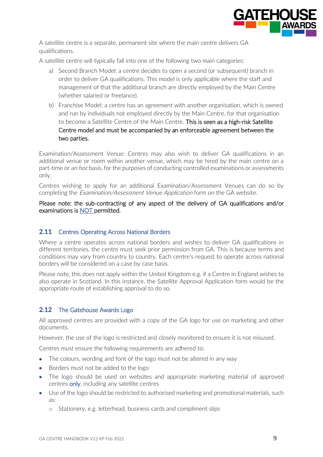

A satellite centre is a separate, permanent site where the main centre delivers GA qualifications.

A satellite centre will typically fall into one of the following two main categories:

- a) Second Branch Model: a centre decides to open a second (or subsequent) branch in order to deliver GA qualifications. This model is only applicable where the staff and management of that the additional branch are directly employed by the Main Centre (whether salaried or freelance).
- b) Franchise Model: a centre has an agreement with another organisation, which is owned and run by individuals not employed directly by the Main Centre, for that organisation to become a Satellite Centre of the Main Centre. This is seen as a high-risk Satellite Centre model and must be accompanied by an enforceable agreement between the two parties.

Examination/Assessment Venue: Centres may also wish to deliver GA qualifications in an additional venue or room within another venue, which may be hired by the main centre on a part-time or *an hoc* basis, for the purposes of conducting controlled examinations or assessments only.

Centres wishing to apply for an additional Examination/Assessment Venues can do so by completing the *Examination/Assessment Venue Application* form on the GA website.

Please note: the sub-contracting of any aspect of the delivery of GA qualifications and/or examinations is NOT permitted.

# 2.11 Centres Operating Across National Borders

Where a centre operates across national borders and wishes to deliver GA qualifications in different territories, the centre must seek prior permission from GA. This is because terms and conditions may vary from country to country. Each centre's request to operate across national borders will be considered on a case by case basis.

Please note, this does not apply within the United Kingdom e.g. if a Centre in England wishes to also operate in Scotland. In this instance, the Satellite Approval Application form would be the appropriate route of establishing approval to do so.

# **2.12** The Gatehouse Awards Logo

All approved centres are provided with a copy of the GA logo for use on marketing and other documents.

However, the use of the logo is restricted and closely monitored to ensure it is not misused.

Centres must ensure the following requirements are adhered to:

- The colours, wording and font of the logo must not be altered in any way
- Borders must not be added to the logo
- The logo should be used on websites and appropriate marketing material of approved centres only, including any satellite centres
- Use of the logo should be restricted to authorised marketing and promotional materials, such as:
	- o Stationery, e.g. letterhead, business cards and compliment slips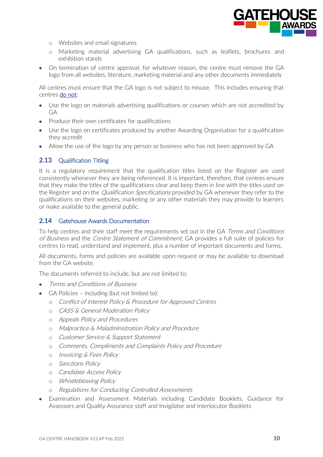

- o Websites and email signatures
- o Marketing material advertising GA qualifications, such as leaflets, brochures and exhibition stands
- On termination of centre approval, for whatever reason, the centre must remove the GA logo from all websites, literature, marketing material and any other documents immediately

All centres must ensure that the GA logo is not subject to misuse. This includes ensuring that centres do not:

- Use the logo on materials advertising qualifications or courses which are not accredited by GA
- Produce their own certificates for qualifications
- Use the logo on certificates produced by another Awarding Organisation for a qualification they accredit
- Allow the use of the logo by any person or business who has not been approved by GA

#### **2.13** Qualification Titling

It is a regulatory requirement that the qualification titles listed on the Register are used consistently whenever they are being referenced. It is important, therefore, that centres ensure that they make the titles of the qualifications clear and keep them in line with the titles used on the Register and on the *Qualification Specifications* provided by GA whenever they refer to the qualifications on their websites, marketing or any other materials they may provide to learners or make available to the general public.

## **2.14** Gatehouse Awards Documentation

To help centres and their staff meet the requirements set out in the GA Terms and Conditions of Business and the Centre Statement of Commitment, GA provides a full suite of policies for centres to read, understand and implement, plus a number of important documents and forms.

All documents, forms and policies are available upon request or may be available to download from the GA website.

The documents referred to include, but are not limited to:

- Terms and Conditions of Business
- GA Policies including (but not limited to):
	- o Conflict of Interest Policy & Procedure for Approved Centres
	- o CASS & General Moderation Policy
	- o Appeals Policy and Procedures
	- o Malpractice & Maladministration Policy and Procedure
	- o Customer Service & Support Statement
	- o Comments, Compliments and Complaints Policy and Procedure
	- o Invoicing & Fees Policy
	- o Sanctions Policy
	- o Candidate Access Policy
	- o Whistleblowing Policy
	- o Regulations for Conducting Controlled Assessments
- Examination and Assessment Materials including Candidate Booklets, Guidance for Assessors and Quality Assurance staff and Invigilator and Interlocutor Booklets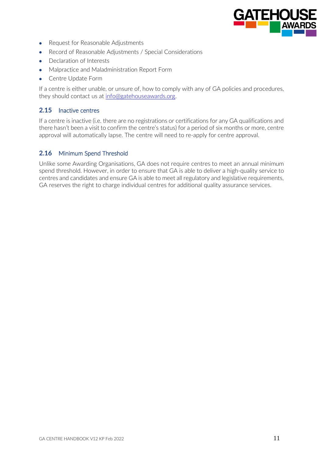

- Request for Reasonable Adjustments
- Record of Reasonable Adjustments / Special Considerations
- Declaration of Interests
- Malpractice and Maladministration Report Form
- Centre Update Form

If a centre is either unable, or unsure of, how to comply with any of GA policies and procedures, they should contact us at [info@gatehouseawards.org.](mailto:info@gatehouseawards.org)

# **2.15** Inactive centres

If a centre is inactive (i.e. there are no registrations or certifications for any GA qualifications and there hasn't been a visit to confirm the centre's status) for a period of six months or more, centre approval will automatically lapse. The centre will need to re-apply for centre approval.

## **2.16** Minimum Spend Threshold

Unlike some Awarding Organisations, GA does not require centres to meet an annual minimum spend threshold. However, in order to ensure that GA is able to deliver a high-quality service to centres and candidates and ensure GA is able to meet all regulatory and legislative requirements, GA reserves the right to charge individual centres for additional quality assurance services.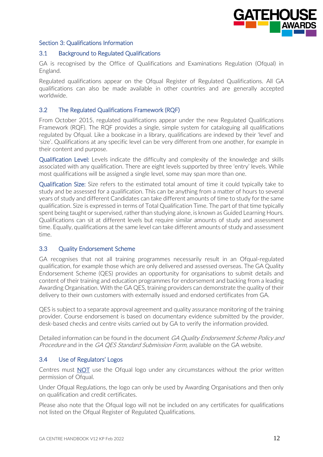

#### Section 3: Qualifications Information

#### 3.1 Background to Regulated Qualifications

GA is recognised by the Office of Qualifications and Examinations Regulation (Ofqual) in England.

Regulated qualifications appear on the Ofqual Register of Regulated Qualifications. All GA qualifications can also be made available in other countries and are generally accepted worldwide.

#### 3.2 The Regulated Qualifications Framework (RQF)

From October 2015, regulated qualifications appear under the new Regulated Qualifications Framework (RQF). The RQF provides a single, simple system for cataloguing all qualifications regulated by Ofqual. Like a bookcase in a library, qualifications are indexed by their 'level' and 'size'. Qualifications at any specific level can be very different from one another, for example in their content and purpose.

Qualification Level: Levels indicate the difficulty and complexity of the knowledge and skills associated with any qualification. There are eight levels supported by three 'entry' levels. While most qualifications will be assigned a single level, some may span more than one.

Qualification Size: Size refers to the estimated total amount of time it could typically take to study and be assessed for a qualification. This can be anything from a matter of hours to several years of study and different Candidates can take different amounts of time to study for the same qualification. Size is expressed in terms of Total Qualification Time. The part of that time typically spent being taught or supervised, rather than studying alone, is known as Guided Learning Hours. Qualifications can sit at different levels but require similar amounts of study and assessment time. Equally, qualifications at the same level can take different amounts of study and assessment time.

#### 3.3 Quality Endorsement Scheme

GA recognises that not all training programmes necessarily result in an Ofqual-regulated qualification, for example those which are only delivered and assessed overseas. The GA Quality Endorsement Scheme (QES) provides an opportunity for organisations to submit details and content of their training and education programmes for endorsement and backing from a leading Awarding Organisation. With the GA QES, training providers can demonstrate the quality of their delivery to their own customers with externally issued and endorsed certificates from GA.

QES is subject to a separate approval agreement and quality assurance monitoring of the training provider. Course endorsement is based on documentary evidence submitted by the provider, desk-based checks and centre visits carried out by GA to verify the information provided.

Detailed information can be found in the document GA Quality Endorsement Scheme Policy and Procedure and in the GA QES Standard Submission Form, available on the GA website.

#### 3.4 Use of Regulators' Logos

Centres must NOT use the Ofqual logo under any circumstances without the prior written permission of Ofqual.

Under Ofqual Regulations, the logo can only be used by Awarding Organisations and then only on qualification and credit certificates.

Please also note that the Ofqual logo will not be included on any certificates for qualifications not listed on the Ofqual Register of Regulated Qualifications.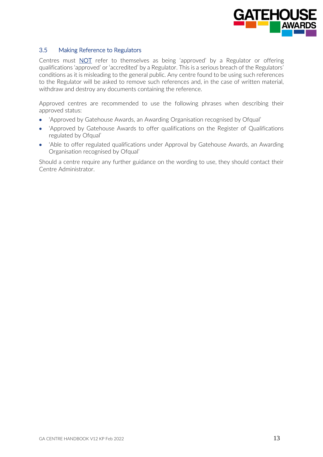

## 3.5 Making Reference to Regulators

Centres must **NOT** refer to themselves as being 'approved' by a Regulator or offering qualifications 'approved' or 'accredited' by a Regulator. This is a serious breach of the Regulators' conditions as it is misleading to the general public. Any centre found to be using such references to the Regulator will be asked to remove such references and, in the case of written material, withdraw and destroy any documents containing the reference.

Approved centres are recommended to use the following phrases when describing their approved status:

- 'Approved by Gatehouse Awards, an Awarding Organisation recognised by Ofqual'
- 'Approved by Gatehouse Awards to offer qualifications on the Register of Qualifications regulated by Ofqual'
- 'Able to offer regulated qualifications under Approval by Gatehouse Awards, an Awarding Organisation recognised by Ofqual'

Should a centre require any further guidance on the wording to use, they should contact their Centre Administrator.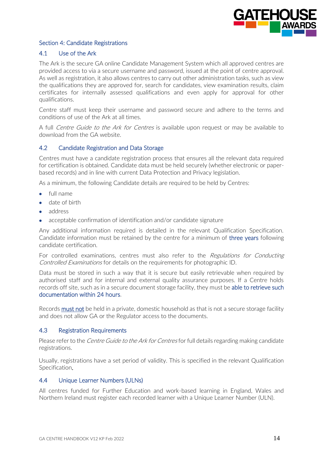

## Section 4: Candidate Registrations

#### 4.1 Use of the Ark

The Ark is the secure GA online Candidate Management System which all approved centres are provided access to via a secure username and password, issued at the point of centre approval. As well as registration, it also allows centres to carry out other administration tasks, such as view the qualifications they are approved for, search for candidates, view examination results, claim certificates for internally assessed qualifications and even apply for approval for other qualifications.

Centre staff must keep their username and password secure and adhere to the terms and conditions of use of the Ark at all times.

A full *Centre Guide to the Ark for Centres* is available upon request or may be available to download from the GA website.

#### 4.2 Candidate Registration and Data Storage

Centres must have a candidate registration process that ensures all the relevant data required for certification is obtained. Candidate data must be held securely (whether electronic or paperbased records) and in line with current Data Protection and Privacy legislation.

As a minimum, the following Candidate details are required to be held by Centres:

- full name
- date of birth
- address
- acceptable confirmation of identification and/or candidate signature

Any additional information required is detailed in the relevant Qualification Specification. Candidate information must be retained by the centre for a minimum of three years following candidate certification.

For controlled examinations, centres must also refer to the *Regulations for Conducting* Controlled Examinations for details on the requirements for photographic ID.

Data must be stored in such a way that it is secure but easily retrievable when required by authorised staff and for internal and external quality assurance purposes. If a Centre holds records off site, such as in a secure document storage facility, they must be able to retrieve such documentation within 24 hours.

Records must not be held in a private, domestic household as that is not a secure storage facility and does not allow GA or the Regulator access to the documents.

#### 4.3 Registration Requirements

Please refer to the *Centre Guide to the Ark for Centres* for full details regarding making candidate registrations.

Usually, registrations have a set period of validity. This is specified in the relevant Qualification Specification.

#### 4.4 Unique Learner Numbers (ULNs)

All centres funded for Further Education and work-based learning in England, Wales and Northern Ireland must register each recorded learner with a Unique Learner Number (ULN).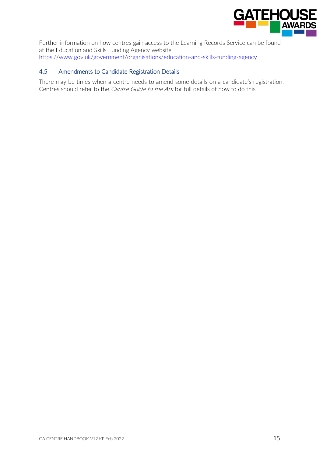

Further information on how centres gain access to the Learning Records Service can be found at the Education and Skills Funding Agency website <https://www.gov.uk/government/organisations/education-and-skills-funding-agency>

# 4.5 Amendments to Candidate Registration Details

There may be times when a centre needs to amend some details on a candidate's registration. Centres should refer to the *Centre Guide to the Ark* for full details of how to do this.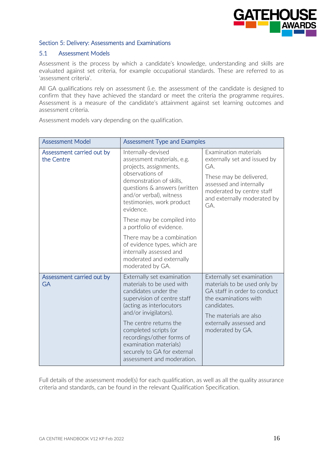

# Section 5: Delivery: Assessments and Examinations

#### 5.1 Assessment Models

Assessment is the process by which a candidate's knowledge, understanding and skills are evaluated against set criteria, for example occupational standards. These are referred to as 'assessment criteria'.

All GA qualifications rely on assessment (i.e. the assessment of the candidate is designed to confirm that they have achieved the standard or meet the criteria the programme requires. Assessment is a measure of the candidate's attainment against set learning outcomes and assessment criteria.

Assessment models vary depending on the qualification.

| <b>Assessment Model</b>                 | <b>Assessment Type and Examples</b>                                                                                                                                                                                                                                                                                                        |                                                                                                                                                                                                             |
|-----------------------------------------|--------------------------------------------------------------------------------------------------------------------------------------------------------------------------------------------------------------------------------------------------------------------------------------------------------------------------------------------|-------------------------------------------------------------------------------------------------------------------------------------------------------------------------------------------------------------|
| Assessment carried out by<br>the Centre | Internally-devised<br>assessment materials, e.g.<br>projects, assignments,<br>observations of<br>demonstration of skills,<br>questions & answers (written<br>and/or verbal), witness<br>testimonies, work product<br>evidence.                                                                                                             | Examination materials<br>externally set and issued by<br>GA.<br>These may be delivered,<br>assessed and internally<br>moderated by centre staff<br>and externally moderated by<br>GA.                       |
|                                         | These may be compiled into<br>a portfolio of evidence.<br>There may be a combination<br>of evidence types, which are<br>internally assessed and<br>moderated and externally<br>moderated by GA.                                                                                                                                            |                                                                                                                                                                                                             |
| Assessment carried out by<br><b>GA</b>  | Externally set examination<br>materials to be used with<br>candidates under the<br>supervision of centre staff<br>(acting as interlocutors<br>and/or invigilators).<br>The centre returns the<br>completed scripts (or<br>recordings/other forms of<br>examination materials)<br>securely to GA for external<br>assessment and moderation. | Externally set examination<br>materials to be used only by<br>GA staff in order to conduct<br>the examinations with<br>candidates.<br>The materials are also<br>externally assessed and<br>moderated by GA. |

Full details of the assessment model(s) for each qualification, as well as all the quality assurance criteria and standards, can be found in the relevant Qualification Specification.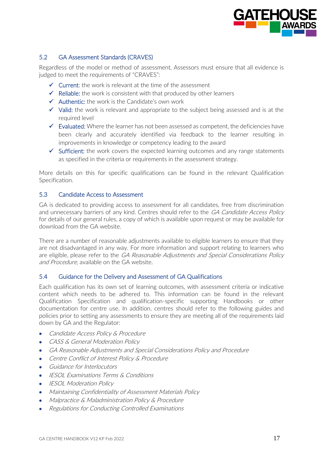

# 5.2 GA Assessment Standards (CRAVES)

Regardless of the model or method of assessment, Assessors must ensure that all evidence is judged to meet the requirements of "CRAVES":

- $\checkmark$  Current: the work is relevant at the time of the assessment
- $\checkmark$  Reliable: the work is consistent with that produced by other learners
- $\checkmark$  Authentic: the work is the Candidate's own work
- ✓ Valid: the work is relevant and appropriate to the subject being assessed and is at the required level
- $\checkmark$  Evaluated: Where the learner has not been assessed as competent, the deficiencies have been clearly and accurately identified via feedback to the learner resulting in improvements in knowledge or competency leading to the award
- $\checkmark$  Sufficient: the work covers the expected learning outcomes and any range statements as specified in the criteria or requirements in the assessment strategy.

More details on this for specific qualifications can be found in the relevant Qualification Specification.

## 5.3 Candidate Access to Assessment

GA is dedicated to providing access to assessment for all candidates, free from discrimination and unnecessary barriers of any kind. Centres should refer to the GA Candidate Access Policy for details of our general rules, a copy of which is available upon request or may be available for download from the GA website.

There are a number of reasonable adjustments available to eligible learners to ensure that they are not disadvantaged in any way. For more information and support relating to learners who are eligible, please refer to the GA Reasonable Adjustments and Special Considerations Policy and Procedure, available on the GA website.

#### 5.4 Guidance for the Delivery and Assessment of GA Qualifications

Each qualification has its own set of learning outcomes, with assessment criteria or indicative content which needs to be adhered to. This information can be found in the relevant Qualification Specification and qualification-specific supporting Handbooks or other documentation for centre use. In addition, centres should refer to the following guides and policies prior to setting any assessments to ensure they are meeting all of the requirements laid down by GA and the Regulator:

- Candidate Access Policy & Procedure
- CASS & General Moderation Policy
- GA Reasonable Adjustments and Special Considerations Policy and Procedure
- Centre Conflict of Interest Policy & Procedure
- Guidance for Interlocutors
- IESOL Examinations Terms & Conditions
- IESOL Moderation Policy
- Maintaining Confidentiality of Assessment Materials Policy
- Malpractice & Maladministration Policy & Procedure
- Regulations for Conducting Controlled Examinations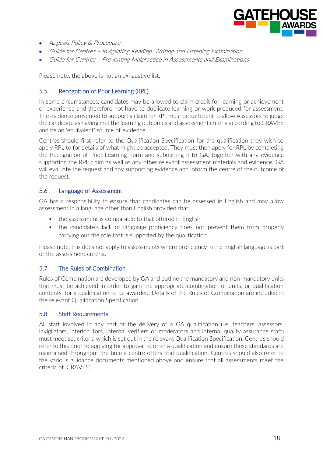

- Appeals Policy & Procedure
- Guide for Centres Invigilating Reading, Writing and Listening Examination
- Guide for Centres Preventing Malpractice in Assessments and Examinations

Please note, the above is not an exhaustive list.

## 5.5 Recognition of Prior Learning (RPL)

In some circumstances, candidates may be allowed to claim credit for learning or achievement or experience and therefore not have to duplicate learning or work produced for assessment. The evidence presented to support a claim for RPL must be sufficient to allow Assessors to judge the candidate as having met the learning outcomes and assessment criteria according to CRAVES and be an 'equivalent' source of evidence.

Centres should first refer to the Qualification Specification for the qualification they wish to apply RPL to for details of what might be accepted. They must then apply for RPL by completing the Recognition of Prior Learning Form and submitting it to GA, together with any evidence supporting the RPL claim as well as any other relevant assessment materials and evidence. GA will evaluate the request and any supporting evidence and inform the centre of the outcome of the request.

#### 5.6 Language of Assessment

GA has a responsibility to ensure that candidates can be assessed in English and may allow assessment in a language other than English provided that:

- the assessment is comparable to that offered in English
- the candidate's lack of language proficiency does not prevent them from properly carrying out the role that is supported by the qualification.

Please note, this does not apply to assessments where proficiency in the English language is part of the assessment criteria.

#### 5.7 The Rules of Combination

Rules of Combination are developed by GA and outline the mandatory and non-mandatory units that must be achieved in order to gain the appropriate combination of units, or qualification contents, for a qualification to be awarded. Details of the Rules of Combination are included in the relevant Qualification Specification.

#### 5.8 Staff Requirements

All staff involved in any part of the delivery of a GA qualification (i.e. teachers, assessors, invigilators, interlocutors, internal verifiers or moderators and internal quality assurance staff) must meet set criteria which is set out in the relevant Qualification Specification. Centres should refer to this prior to applying for approval to offer a qualification and ensure these standards are maintained throughout the time a centre offers that qualification. Centres should also refer to the various guidance documents mentioned above and ensure that all assessments meet the criteria of 'CRAVES'.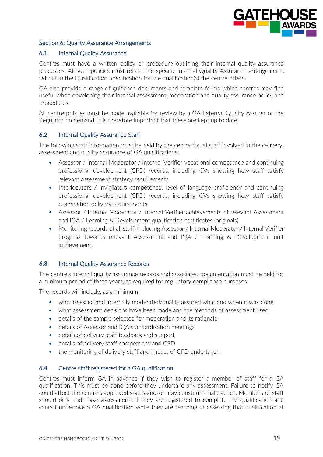

## Section 6: Quality Assurance Arrangements

#### **6.1** Internal Quality Assurance

Centres must have a written policy or procedure outlining their internal quality assurance processes. All such policies must reflect the specific Internal Quality Assurance arrangements set out in the Qualification Specification for the qualification(s) the centre offers.

GA also provide a range of guidance documents and template forms which centres may find useful when developing their internal assessment, moderation and quality assurance policy and Procedures.

All centre policies must be made available for review by a GA External Quality Assurer or the Regulator on demand. It is therefore important that these are kept up to date.

## **6.2** Internal Quality Assurance Staff

The following staff information must be held by the centre for all staff involved in the delivery, assessment and quality assurance of GA qualifications:

- Assessor / Internal Moderator / Internal Verifier vocational competence and continuing professional development (CPD) records, including CVs showing how staff satisfy relevant assessment strategy requirements
- Interlocutors / Invigilators competence, level of language proficiency and continuing professional development (CPD) records, including CVs showing how staff satisfy examination delivery requirements
- Assessor / Internal Moderator / Internal Verifier achievements of relevant Assessment and IQA / Learning & Development qualification certificates (originals)
- Monitoring records of all staff, including Assessor / Internal Moderator / Internal Verifier progress towards relevant Assessment and IQA / Learning & Development unit achievement.

# **6.3** Internal Quality Assurance Records

The centre's internal quality assurance records and associated documentation must be held for a minimum period of three years, as required for regulatory compliance purposes.

The records will include, as a minimum:

- who assessed and internally moderated/quality assured what and when it was done
- what assessment decisions have been made and the methods of assessment used
- details of the sample selected for moderation and its rationale
- details of Assessor and IQA standardisation meetings
- details of delivery staff feedback and support
- details of delivery staff competence and CPD
- the monitoring of delivery staff and impact of CPD undertaken

#### **6.4** Centre staff registered for a GA qualification

Centres must inform GA in advance if they wish to register a member of staff for a GA qualification. This must be done before they undertake any assessment. Failure to notify GA could affect the centre's approved status and/or may constitute malpractice. Members of staff should only undertake assessments if they are registered to complete the qualification and cannot undertake a GA qualification while they are teaching or assessing that qualification at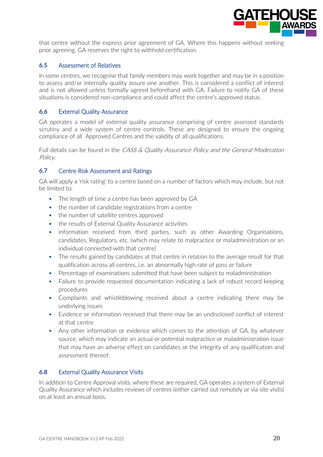

that centre without the express prior agreement of GA. Where this happens without seeking prior agreeing, GA reserves the right to withhold certification.

## **6.5** Assessment of Relatives

In some centres, we recognise that family members may work together and may be in a position to assess and/or internally quality assure one another. This is considered a conflict of interest and is not allowed unless formally agreed beforehand with GA. Failure to notify GA of these situations is considered non-compliance and could affect the centre's approved status.

## **6.6** External Quality Assurance

GA operates a model of external quality assurance comprising of centre assessed standards scrutiny and a wide system of centre controls. These are designed to ensure the ongoing compliance of all Approved Centres and the validity of all qualifications.

Full details can be found in the CASS & Quality Assurance Policy and the General Moderation Policy.

#### **6.7** Centre Risk Assessment and Ratings

GA will apply a 'risk rating' to a centre based on a number of factors which may include, but not be limited to:

- The length of time a centre has been approved by GA
- the number of candidate registrations from a centre
- the number of satellite centres approved
- the results of External Quality Assurance activities
- information received from third parties, such as other Awarding Organisations, candidates, Regulators, etc. (which may relate to malpractice or maladministration or an individual connected with that centre)
- The results gained by candidates at that centre in relation to the average result for that qualification across all centres, i.e. an abnormally high rate of pass or failure
- Percentage of examinations submitted that have been subject to maladministration
- Failure to provide requested documentation indicating a lack of robust record keeping procedures
- Complaints and whistleblowing received about a centre indicating there may be underlying issues
- Evidence or information received that there may be an undisclosed conflict of interest at that centre
- Any other information or evidence which comes to the attention of GA, by whatever source, which may indicate an actual or potential malpractice or maladministration issue that may have an adverse effect on candidates or the integrity of any qualification and assessment thereof.

#### **6.8** External Quality Assurance Visits

In addition to Centre Approval visits, where these are required, GA operates a system of External Quality Assurance which includes reviews of centres (either carried out remotely or via site visits) on at least an annual basis.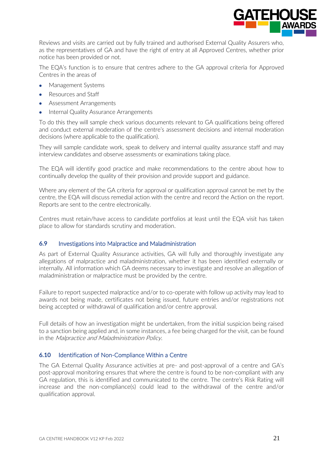

Reviews and visits are carried out by fully trained and authorised External Quality Assurers who, as the representatives of GA and have the right of entry at all Approved Centres, whether prior notice has been provided or not.

The EQA's function is to ensure that centres adhere to the GA approval criteria for Approved Centres in the areas of

- Management Systems
- Resources and Staff
- Assessment Arrangements
- Internal Quality Assurance Arrangements

To do this they will sample check various documents relevant to GA qualifications being offered and conduct external moderation of the centre's assessment decisions and internal moderation decisions (where applicable to the qualification).

They will sample candidate work, speak to delivery and internal quality assurance staff and may interview candidates and observe assessments or examinations taking place.

The EQA will identify good practice and make recommendations to the centre about how to continually develop the quality of their provision and provide support and guidance.

Where any element of the GA criteria for approval or qualification approval cannot be met by the centre, the EQA will discuss remedial action with the centre and record the Action on the report. Reports are sent to the centre electronically.

Centres must retain/have access to candidate portfolios at least until the EQA visit has taken place to allow for standards scrutiny and moderation.

# **6.9** Investigations into Malpractice and Maladministration

As part of External Quality Assurance activities, GA will fully and thoroughly investigate any allegations of malpractice and maladministration, whether it has been identified externally or internally. All information which GA deems necessary to investigate and resolve an allegation of maladministration or malpractice must be provided by the centre.

Failure to report suspected malpractice and/or to co-operate with follow up activity may lead to awards not being made, certificates not being issued, future entries and/or registrations not being accepted or withdrawal of qualification and/or centre approval.

Full details of how an investigation might be undertaken, from the initial suspicion being raised to a sanction being applied and, in some instances, a fee being charged for the visit, can be found in the Malpractice and Maladministration Policy.

#### **6.10** Identification of Non-Compliance Within a Centre

The GA External Quality Assurance activities at pre- and post-approval of a centre and GA's post-approval monitoring ensures that where the centre is found to be non-compliant with any GA regulation, this is identified and communicated to the centre. The centre's Risk Rating will increase and the non-compliance(s) could lead to the withdrawal of the centre and/or qualification approval.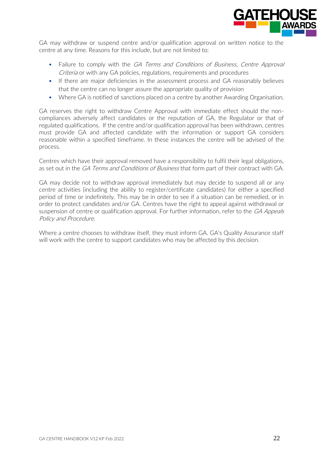

GA may withdraw or suspend centre and/or qualification approval on written notice to the centre at any time. Reasons for this include, but are not limited to:

- Failure to comply with the GA Terms and Conditions of Business, Centre Approval Criteria or with any GA policies, regulations, requirements and procedures
- If there are major deficiencies in the assessment process and GA reasonably believes that the centre can no longer assure the appropriate quality of provision
- Where GA is notified of sanctions placed on a centre by another Awarding Organisation.

GA reserves the right to withdraw Centre Approval with immediate effect should the noncompliances adversely affect candidates or the reputation of GA, the Regulator or that of regulated qualifications. If the centre and/or qualification approval has been withdrawn, centres must provide GA and affected candidate with the information or support GA considers reasonable within a specified timeframe. In these instances the centre will be advised of the process.

Centres which have their approval removed have a responsibility to fulfil their legal obligations, as set out in the GA Terms and Conditions of Business that form part of their contract with GA.

GA may decide not to withdraw approval immediately but may decide to suspend all or any centre activities (including the ability to register/certificate candidates) for either a specified period of time or indefinitely. This may be in order to see if a situation can be remedied, or in order to protect candidates and/or GA. Centres have the right to appeal against withdrawal or suspension of centre or qualification approval. For further information, refer to the GA Appeals Policy and Procedure.

Where a centre chooses to withdraw itself, they must inform GA. GA's Quality Assurance staff will work with the centre to support candidates who may be affected by this decision.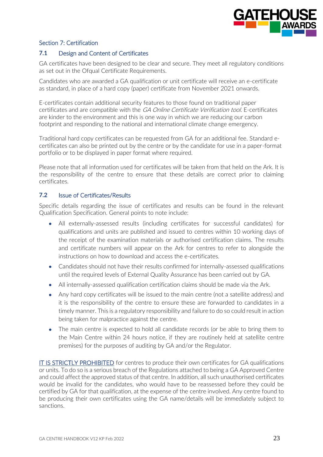

# Section 7: Certification

# **7.1** Design and Content of Certificates

GA certificates have been designed to be clear and secure. They meet all regulatory conditions as set out in the Ofqual Certificate Requirements.

Candidates who are awarded a GA qualification or unit certificate will receive an e-certificate as standard, in place of a hard copy (paper) certificate from November 2021 onwards.

E-certificates contain additional security features to those found on traditional paper certificates and are compatible with the GA Online Certificate Verification tool. E-certificates are kinder to the environment and this is one way in which we are reducing our carbon footprint and responding to the national and international climate change emergency.

Traditional hard copy certificates can be requested from GA for an additional fee. Standard ecertificates can also be printed out by the centre or by the candidate for use in a paper-format portfolio or to be displayed in paper format where required.

Please note that all information used for certificates will be taken from that held on the Ark. It is the responsibility of the centre to ensure that these details are correct prior to claiming certificates.

# **7.2** Issue of Certificates/Results

Specific details regarding the issue of certificates and results can be found in the relevant Qualification Specification. General points to note include:

- All externally-assessed results (including certificates for successful candidates) for qualifications and units are published and issued to centres within 10 working days of the receipt of the examination materials or authorised certification claims. The results and certificate numbers will appear on the Ark for centres to refer to alongside the instructions on how to download and access the e-certificates.
- Candidates should not have their results confirmed for internally-assessed qualifications until the required levels of External Quality Assurance has been carried out by GA.
- All internally-assessed qualification certification claims should be made via the Ark.
- Any hard copy certificates will be issued to the main centre (not a satellite address) and it is the responsibility of the centre to ensure these are forwarded to candidates in a timely manner. This is a regulatory responsibility and failure to do so could result in action being taken for malpractice against the centre.
- The main centre is expected to hold all candidate records (or be able to bring them to the Main Centre within 24 hours notice, if they are routinely held at satellite centre premises) for the purposes of auditing by GA and/or the Regulator.

IT IS STRICTLY PROHIBITED for centres to produce their own certificates for GA qualifications or units. To do so is a serious breach of the Regulations attached to being a GA Approved Centre and could affect the approved status of that centre. In addition, all such unauthorised certificates would be invalid for the candidates, who would have to be reassessed before they could be certified by GA for that qualification, at the expense of the centre involved. Any centre found to be producing their own certificates using the GA name/details will be immediately subject to sanctions.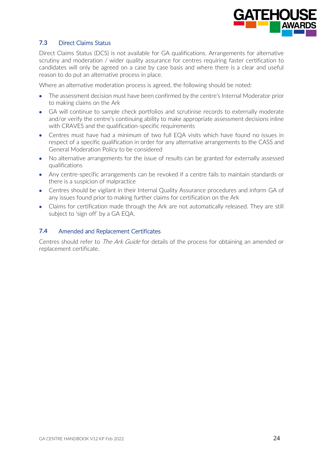

# **7.3** Direct Claims Status

Direct Claims Status (DCS) is not available for GA qualifications. Arrangements for alternative scrutiny and moderation / wider quality assurance for centres requiring faster certification to candidates will only be agreed on a case by case basis and where there is a clear and useful reason to do put an alternative process in place.

Where an alternative moderation process is agreed, the following should be noted:

- The assessment decision must have been confirmed by the centre's Internal Moderator prior to making claims on the Ark
- GA will continue to sample check portfolios and scrutinise records to externally moderate and/or verify the centre's continuing ability to make appropriate assessment decisions inline with CRAVES and the qualification-specific requirements
- Centres must have had a minimum of two full EQA visits which have found no issues in respect of a specific qualification in order for any alternative arrangements to the CASS and General Moderation Policy to be considered
- No alternative arrangements for the issue of results can be granted for externally assessed qualifications
- Any centre-specific arrangements can be revoked if a centre fails to maintain standards or there is a suspicion of malpractice
- Centres should be vigilant in their Internal Quality Assurance procedures and inform GA of any issues found prior to making further claims for certification on the Ark
- Claims for certification made through the Ark are not automatically released. They are still subject to 'sign off' by a GA EQA.

#### **7.4** Amended and Replacement Certificates

Centres should refer to *The Ark Guide* for details of the process for obtaining an amended or replacement certificate.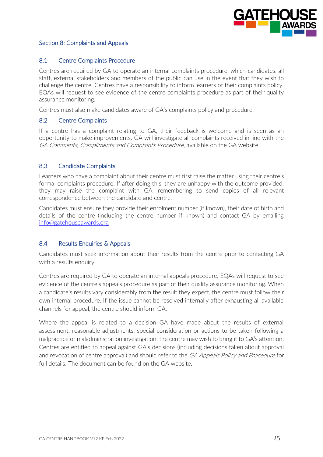

## Section 8: Complaints and Appeals

#### 8.1 Centre Complaints Procedure

Centres are required by GA to operate an internal complaints procedure, which candidates, all staff, external stakeholders and members of the public can use in the event that they wish to challenge the centre. Centres have a responsibility to inform learners of their complaints policy. EQAs will request to see evidence of the centre complaints procedure as part of their quality assurance monitoring.

Centres must also make candidates aware of GA's complaints policy and procedure.

#### 8.2 Centre Complaints

If a centre has a complaint relating to GA, their feedback is welcome and is seen as an opportunity to make improvements. GA will investigate all complaints received in line with the GA Comments, Compliments and Complaints Procedure, available on the GA website.

#### 8.3 Candidate Complaints

Learners who have a complaint about their centre must first raise the matter using their centre's formal complaints procedure. If after doing this, they are unhappy with the outcome provided, they may raise the complaint with GA, remembering to send copies of all relevant correspondence between the candidate and centre.

Candidates must ensure they provide their enrolment number (if known), their date of birth and details of the centre (including the centre number if known) and contact GA by emailing [info@gatehouseawards.org](mailto:info@gatehouseawards.org)

#### 8.4 Results Enquiries & Appeals

Candidates must seek information about their results from the centre prior to contacting GA with a results enquiry.

Centres are required by GA to operate an internal appeals procedure. EQAs will request to see evidence of the centre's appeals procedure as part of their quality assurance monitoring. When a candidate's results vary considerably from the result they expect, the centre must follow their own internal procedure. If the issue cannot be resolved internally after exhausting all available channels for appeal, the centre should inform GA.

Where the appeal is related to a decision GA have made about the results of external assessment, reasonable adjustments, special consideration or actions to be taken following a malpractice or maladministration investigation, the centre may wish to bring it to GA's attention. Centres are entitled to appeal against GA's decisions (including decisions taken about approval and revocation of centre approval) and should refer to the GA Appeals Policy and Procedure for full details. The document can be found on the GA website.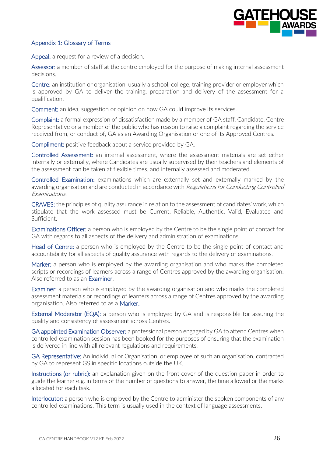

## Appendix 1: Glossary of Terms

Appeal: a request for a review of a decision.

Assessor: a member of staff at the centre employed for the purpose of making internal assessment decisions.

Centre: an institution or organisation, usually a school, college, training provider or employer which is approved by GA to deliver the training, preparation and delivery of the assessment for a qualification.

Comment: an idea, suggestion or opinion on how GA could improve its services.

Complaint: a formal expression of dissatisfaction made by a member of GA staff, Candidate, Centre Representative or a member of the public who has reason to raise a complaint regarding the service received from, or conduct of, GA as an Awarding Organisation or one of its Approved Centres.

Compliment: positive feedback about a service provided by GA.

Controlled Assessment: an internal assessment, where the assessment materials are set either internally or externally, where Candidates are usually supervised by their teachers and elements of the assessment can be taken at flexible times, and internally assessed and moderated.

Controlled Examination: examinations which are externally set and externally marked by the awarding organisation and are conducted in accordance with Regulations for Conducting Controlled Examinations.

CRAVES: the principles of quality assurance in relation to the assessment of candidates' work, which stipulate that the work assessed must be Current, Reliable, Authentic, Valid, Evaluated and Sufficient.

Examinations Officer: a person who is employed by the Centre to be the single point of contact for GA with regards to all aspects of the delivery and administration of examinations.

Head of Centre: a person who is employed by the Centre to be the single point of contact and accountability for all aspects of quality assurance with regards to the delivery of examinations.

Marker: a person who is employed by the awarding organisation and who marks the completed scripts or recordings of learners across a range of Centres approved by the awarding organisation. Also referred to as an Examiner.

Examiner: a person who is employed by the awarding organisation and who marks the completed assessment materials or recordings of learners across a range of Centres approved by the awarding organisation. Also referred to as a Marker.

External Moderator (EQA): a person who is employed by GA and is responsible for assuring the quality and consistency of assessment across Centres.

GA appointed Examination Observer: a professional person engaged by GA to attend Centres when controlled examination session has been booked for the purposes of ensuring that the examination is delivered in line with all relevant regulations and requirements.

GA Representative: An individual or Organisation, or employee of such an organisation, contracted by GA to represent GS in specific locations outside the UK.

Instructions (or rubric): an explanation given on the front cover of the question paper in order to guide the learner e.g. in terms of the number of questions to answer, the time allowed or the marks allocated for each task.

Interlocutor: a person who is employed by the Centre to administer the spoken components of any controlled examinations. This term is usually used in the context of language assessments.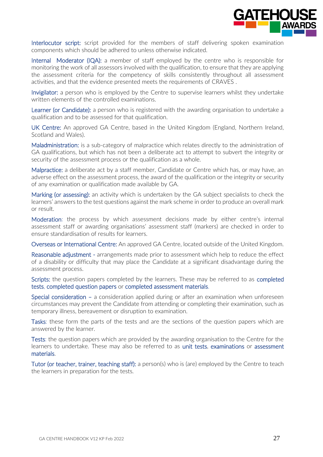

Interlocutor script: script provided for the members of staff delivering spoken examination components which should be adhered to unless otherwise indicated.

Internal Moderator (IQA): a member of staff employed by the centre who is responsible for monitoring the work of all assessors involved with the qualification, to ensure that they are applying the assessment criteria for the competency of skills consistently throughout all assessment activities, and that the evidence presented meets the requirements of CRAVES .

Invigilator: a person who is employed by the Centre to supervise learners whilst they undertake written elements of the controlled examinations.

Learner (or Candidate): a person who is registered with the awarding organisation to undertake a qualification and to be assessed for that qualification.

UK Centre: An approved GA Centre, based in the United Kingdom (England, Northern Ireland, Scotland and Wales).

Maladministration: is a sub-category of malpractice which relates directly to the administration of GA qualifications, but which has not been a deliberate act to attempt to subvert the integrity or security of the assessment process or the qualification as a whole.

Malpractice: a deliberate act by a staff member, Candidate or Centre which has, or may have, an adverse effect on the assessment process, the award of the qualification or the integrity or security of any examination or qualification made available by GA.

Marking (or assessing): an activity which is undertaken by the GA subject specialists to check the learners' answers to the test questions against the mark scheme in order to produce an overall mark or result.

Moderation: the process by which assessment decisions made by either centre's internal assessment staff or awarding organisations' assessment staff (markers) are checked in order to ensure standardisation of results for learners.

Overseas or International Centre: An approved GA Centre, located outside of the United Kingdom.

Reasonable adjustment - arrangements made prior to assessment which help to reduce the effect of a disability or difficulty that may place the Candidate at a significant disadvantage during the assessment process.

Scripts: the question papers completed by the learners. These may be referred to as completed tests, completed question papers or completed assessment materials.

Special consideration – a consideration applied during or after an examination when unforeseen circumstances may prevent the Candidate from attending or completing their examination, such as temporary illness, bereavement or disruption to examination.

Tasks: these form the parts of the tests and are the sections of the question papers which are answered by the learner.

Tests: the question papers which are provided by the awarding organisation to the Centre for the learners to undertake. These may also be referred to as unit tests, examinations or assessment materials.

Tutor (or teacher, trainer, teaching staff): a person(s) who is (are) employed by the Centre to teach the learners in preparation for the tests.